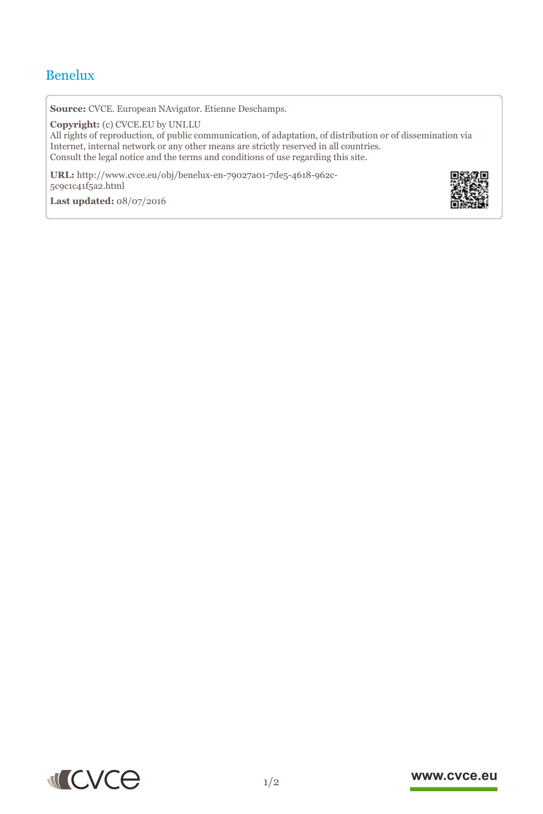## Benelux

**Source:** CVCE. European NAvigator. Etienne Deschamps.

**Copyright:** (c) CVCE.EU by UNI.LU

All rights of reproduction, of public communication, of adaptation, of distribution or of dissemination via Internet, internal network or any other means are strictly reserved in all countries. Consult the legal notice and the terms and conditions of use regarding this site.

**URL:** http://www.cvce.eu/obj/benelux-en-79027a01-7de5-4618-962c-5c9c1c41f[5a2.html](http://www.cvce.eu/obj/benelux-en-79027a01-7de5-4618-962c-5c9c1c41f5a2.html)

**Las[t updated:](http://www.cvce.eu/obj/benelux-en-79027a01-7de5-4618-962c-5c9c1c41f5a2.html)** 08/07/2016





## www.cvce.eu